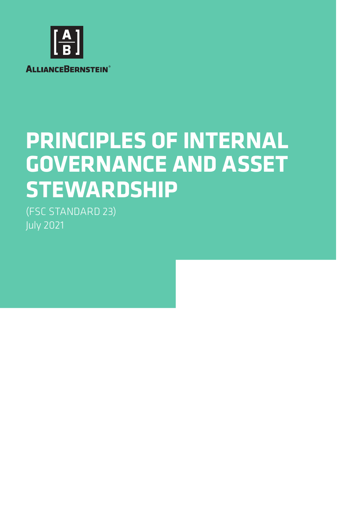

# **PRINCIPLES OF INTERNAL GOVERNANCE AND ASSET STEWARDSHIP**

(FSC STANDARD 23) July 2021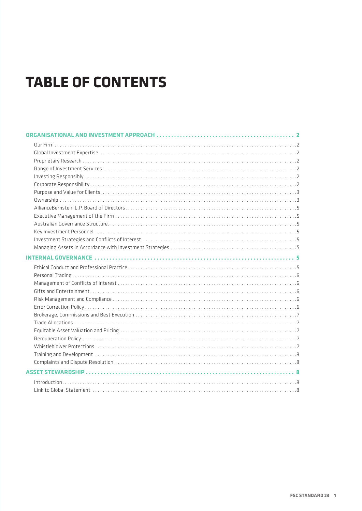# **TABLE OF CONTENTS**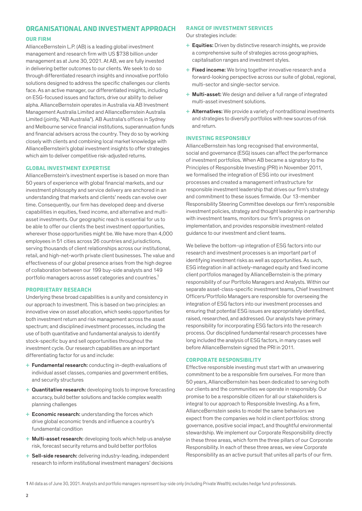# <span id="page-3-0"></span>**ORGANISATIONAL AND INVESTMENT APPROACH**

#### **OUR FIRM**

AllianceBernstein L.P. (AB) is a leading global investment management and research firm with US \$738 billion under management as at June 30, 2021. At AB, we are fully invested in delivering better outcomes to our clients. We seek to do so through differentiated research insights and innovative portfolio solutions designed to address the specific challenges our clients face. As an active manager, our differentiated insights, including on ESG-focused issues and factors, drive our ability to deliver alpha. AllianceBernstein operates in Australia via AB Investment Management Australia Limited and AllianceBernstein Australia Limited (jointly, "AB Australia"). AB Australia's offices in Sydney and Melbourne service financial institutions, superannuation funds and financial advisers across the country. They do so by working closely with clients and combining local market knowledge with AllianceBernstein's global investment insights to offer strategies which aim to deliver competitive risk-adjusted returns.

#### **GLOBAL INVESTMENT EXPERTISE**

AllianceBernstein's investment expertise is based on more than 50 years of experience with global financial markets, and our investment philosophy and service delivery are anchored in an understanding that markets and clients' needs can evolve over time. Consequently, our firm has developed deep and diverse capabilities in equities, fixed income, and alternative and multiasset investments. Our geographic reach is essential for us to be able to offer our clients the best investment opportunities, wherever those opportunities might be. We have more than 4,000 employees in 51 cities across 26 countries and jurisdictions, serving thousands of client relationships across our institutional, retail, and high-net-worth private client businesses. The value and effectiveness of our global presence arises from the high degree of collaboration between our 199 buy-side analysts and 149 portfolio managers across asset categories and countries.1

### **PROPRIETARY RESEARCH**

Underlying these broad capabilities is a unity and consistency in our approach to investment. This is based on two principles: an innovative view on asset allocation, which seeks opportunities for both investment return and risk management across the asset spectrum; and disciplined investment processes, including the use of both quantitative and fundamental analysis to identify stock-specific buy and sell opportunities throughout the investment cycle. Our research capabilities are an important differentiating factor for us and include:

- + Fundamental research: conducting in-depth evaluations of individual asset classes, companies and government entities, and security structures
- + Quantitative research: developing tools to improve forecasting accuracy, build better solutions and tackle complex wealth planning challenges
- + Economic research: understanding the forces which drive global economic trends and influence a country's fundamental condition
- + Multi-asset research: developing tools which help us analyse risk, forecast security returns and build better portfolios
- + Sell-side research: delivering industry-leading, independent research to inform institutional investment managers' decisions

#### **RANGE OF INVESTMENT SERVICES**

Our strategies include:

- + Equities: Driven by distinctive research insights, we provide a comprehensive suite of strategies across geographies, capitalisation ranges and investment styles.
- + Fixed income: We bring together innovative research and a forward-looking perspective across our suite of global, regional, multi-sector and single-sector service.
- + Multi-asset: We design and deliver a full range of integrated multi-asset investment solutions.
- + Alternatives: We provide a variety of nontraditional investments and strategies to diversify portfolios with new sources of risk and return.

#### **INVESTING RESPONSIBLY**

AllianceBernstein has long recognised that environmental, social and governance (ESG) issues can affect the performance of investment portfolios. When AB became a signatory to the Principles of Responsible Investing (PRI) in November 2011, we formalised the integration of ESG into our investment processes and created a management infrastructure for responsible investment leadership that drives our firm's strategy and commitment to these issues firmwide. Our 13-member Responsibility Steering Committee develops our firm's responsible investment policies, strategy and thought leadership in partnership with investment teams, monitors our firm's progress on implementation, and provides responsible investment-related guidance to our investment and client teams.

We believe the bottom-up integration of ESG factors into our research and investment processes is an important part of identifying investment risks as well as opportunities. As such, ESG integration in all actively-managed equity and fixed income client portfolios managed by AllianceBernstein is the primary responsibility of our Portfolio Managers and Analysts. Within our separate asset-class-specific investment teams, Chief Investment Officers/Portfolio Managers are responsible for overseeing the integration of ESG factors into our investment processes and ensuring that potential ESG issues are appropriately identified, raised, researched, and addressed. Our analysts have primary responsibility for incorporating ESG factors into the research process. Our disciplined fundamental research processes have long included the analysis of ESG factors, in many cases well before AllianceBernstein signed the PRI in 2011.

#### **CORPORATE RESPONSIBILITY**

Effective responsible investing must start with an unwavering commitment to be a responsible firm ourselves. For more than 50 years, AllianceBernstein has been dedicated to serving both our clients and the communities we operate in responsibly. Our promise to be a responsible citizen for all our stakeholders is integral to our approach to Responsible Investing. As a firm, AllianceBernstein seeks to model the same behaviors we expect from the companies we hold in client portfolios: strong governance, positive social impact, and thoughtful environmental stewardship. We implement our Corporate Responsibility directly in these three areas, which form the three pillars of our Corporate Responsibility. In each of these three areas, we view Corporate Responsibility as an active pursuit that unites all parts of our firm.

<sup>1</sup> All data as of June 30, 2021. Analysts and portfolio managers represent buy-side only (including Private Wealth); excludes hedge fund professionals.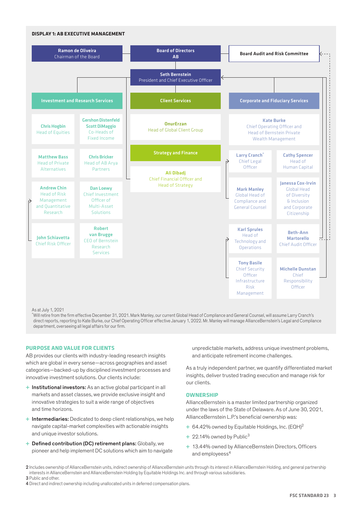<span id="page-4-0"></span>

As at July 1, 2021

\* Will retire from the firm effective December 31, 2021. Mark Manley, our current Global Head of Compliance and General Counsel, will assume Larry Cranch's direct reports, reporting to Kate Burke, our Chief Operating Officer effective January 1, 2022. Mr. Manley will manage AllianceBernstein's Legal and Compliance department, overseeing all legal affairs for our firm.

# **PURPOSE AND VALUE FOR CLIENTS**

AB provides our clients with industry-leading research insights which are global in every sense—across geographies and asset categories—backed-up by disciplined investment processes and innovative investment solutions. Our clients include:

- + Institutional investors: As an active global participant in all markets and asset classes, we provide exclusive insight and innovative strategies to suit a wide range of objectives and time horizons.
- + Intermediaries: Dedicated to deep client relationships, we help navigate capital-market complexities with actionable insights and unique investor solutions.
- + Defined contribution (DC) retirement plans: Globally, we pioneer and help implement DC solutions which aim to navigate

unpredictable markets, address unique investment problems, and anticipate retirement income challenges.

As a truly independent partner, we quantify differentiated market insights, deliver trusted trading execution and manage risk for our clients.

#### **OWNERSHIP**

AllianceBernstein is a master limited partnership organized under the laws of the State of Delaware. As of June 30, 2021, AllianceBernstein L.P.'s beneficial ownership was:

- $+ 64.42\%$  owned by Equitable Holdings, Inc. (EQH)<sup>2</sup>
- + 22.14% owned by Public<sup>3</sup>
- + 13.44% owned by AllianceBernstein Directors, Officers and employeess<sup>4</sup>
- 2 Includes ownership of AllianceBernstein units, indirect ownership of AllianceBernstein units through its interest in AllianceBernstein Holding, and general partnership interests in AllianceBernstein and AllianceBernstein Holding by Equitable Holdings Inc. and through various subsidiaries. 3 Public and other.
- 4 Direct and indirect ownership including unallocated units in deferred compensation plans.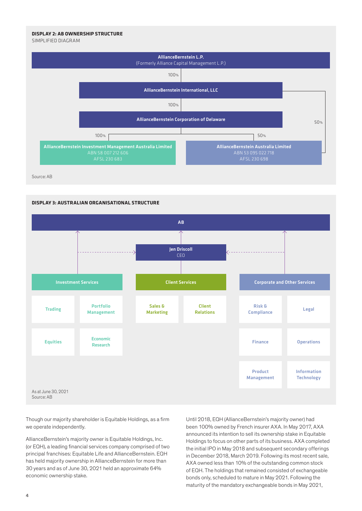# **DISPLAY 2: AB OWNERSHIP STRUCTURE**

SIMPLIFIED DIAGRAM



Source: AB



Though our majority shareholder is Equitable Holdings, as a firm we operate independently.

AllianceBernstein's majority owner is Equitable Holdings, Inc. (or EQH), a leading financial services company comprised of two principal franchises: Equitable Life and AllianceBernstein. EQH has held majority ownership in AllianceBernstein for more than 30 years and as of June 30, 2021 held an approximate 64% economic ownership stake.

Until 2018, EQH (AllianceBernstein's majority owner) had been 100% owned by French insurer AXA. In May 2017, AXA announced its intention to sell its ownership stake in Equitable Holdings to focus on other parts of its business. AXA completed the initial IPO in May 2018 and subsequent secondary offerings in December 2018, March 2019. Following its most recent sale, AXA owned less than 10% of the outstanding common stock of EQH. The holdings that remained consisted of exchangeable bonds only, scheduled to mature in May 2021. Following the maturity of the mandatory exchangeable bonds in May 2021,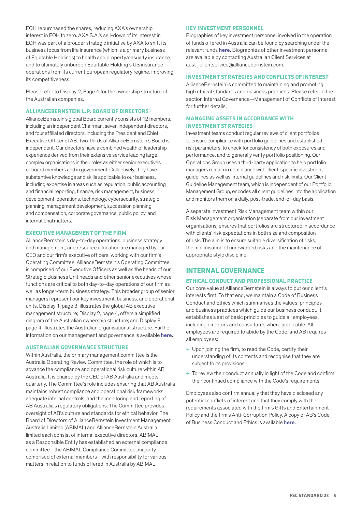<span id="page-6-0"></span>EQH repurchased the shares, reducing AXA's ownership interest in EQH to zero. AXA S.A.'s sell-down of its interest in EQH was part of a broader strategic initiative by AXA to shift its business focus from life insurance (which is a primary business of Equitable Holdings) to health and property/casualty insurance, and to ultimately unburden Equitable Holding's US insurance operations from its current European regulatory regime, improving its competitiveness.

Please refer to Display 2, Page 4 for the ownership structure of the Australian companies.

#### **ALLIANCEBERNSTEIN L.P. BOARD OF DIRECTORS**

AllianceBernstein's global Board currently consists of 12 members, including an independent Chairman, seven independent directors, and four affiliated directors, including the President and Chief Executive Officer of AB. Two-thirds of AllianceBernstein's Board is independent. Our directors have a combined wealth of leadership experience derived from their extensive service leading large, complex organisations in their roles as either senior executives or board members and in government. Collectively, they have substantive knowledge and skills applicable to our business, including expertise in areas such as regulation, public accounting and financial reporting, finance, risk management, business development, operations, technology, cybersecurity, strategic planning, management development, succession planning and compensation, corporate governance, public policy, and international matters.

#### **EXECUTIVE MANAGEMENT OF THE FIRM**

AllianceBernstein's day-to-day operations, business strategy and management, and resource allocation are managed by our CEO and our firm's executive officers, working with our firm's Operating Committee. AllianceBernstein's Operating Committee is comprised of our Executive Officers as well as the heads of our Strategic Business Unit heads and other senior executives whose functions are critical to both day-to-day operations of our firm as well as longer-term business strategy. This broader group of senior managers represent our key investment, business, and operational units. Display 1, page 3, illustrates the global AB executive management structure; Display 2, page 4, offers a simplified diagram of the Australian ownership structure; and Display 3, page 4, illustrates the Australian organisational structure. Further information on our management and governance is available [here](https://www.alliancebernstein.com/corporate/en/corporate-responsibility/corporate-governance.html).

#### **AUSTRALIAN GOVERNANCE STRUCTURE**

Within Australia, the primary management committee is the Australia Operating Review Committee, the role of which is to advance the compliance and operational risk culture within AB Australia. It is chaired by the CEO of AB Australia and meets quarterly. The Committee's role includes ensuring that AB Australia maintains robust compliance and operational risk frameworks, adequate internal controls, and the monitoring and reporting of AB Australia's regulatory obligations. The Committee provides oversight of AB's culture and standards for ethical behavior. The Board of Directors of AllianceBernstein Investment Management Australia Limited (ABIMAL) and AllianceBernstein Australia limited each consist of internal executive directors. ABIMAL, as a Responsible Entity has established an external compliance committee—the ABIMAL Compliance Committee, majority comprised of external members—with responsibility for various matters in relation to funds offered in Australia by ABIMAL.

#### **KEY INVESTMENT PERSONNEL**

Biographies of key investment personnel involved in the operation of funds offered in Australia can be found by searching under the relevant funds [here](https://web.alliancebernstein.com/investments/au/our-funds.htm). Biographies of other investment personnel are available by contacting Australian Client Services at aust\_clientservice@alliancebernstein.com.

## **INVESTMENT STRATEGIES AND CONFLICTS OF INTEREST**

AllianceBernstein is committed to maintaining and promoting high ethical standards and business practices. Please refer to the section Internal Governance—Management of Conflicts of Interest for further details.

# **MANAGING ASSETS IN ACCORDANCE WITH INVESTMENT STRATEGIES**

Investment teams conduct regular reviews of client portfolios to ensure compliance with portfolio guidelines and established risk parameters, to check for consistency of both exposures and performance, and to generally verify portfolio positioning. Our Operations Group uses a third-party application to help portfolio managers remain in compliance with client-specific investment guidelines as well as internal guidelines and risk limits. Our Client Guideline Management team, which is independent of our Portfolio Management Group, encodes all client guidelines into the application and monitors them on a daily, post-trade, end-of-day basis.

A separate Investment Risk Management team within our Risk Management organisation (separate from our investment organisations) ensures that portfolios are structured in accordance with clients' risk expectations in both size and composition of risk. The aim is to ensure suitable diversification of risks, the minimisation of unrewarded risks and the maintenance of appropriate style discipline.

# **INTERNAL GOVERNANCE**

#### **ETHICAL CONDUCT AND PROFESSIONAL PRACTICE**

Our core value at AllianceBernstein is always to put our client's interests first. To that end, we maintain a Code of Business Conduct and Ethics which summarises the values, principles and business practices which guide our business conduct. It establishes a set of basic principles to guide all employees, including directors and consultants where applicable. All employees are required to abide by the Code, and AB requires all employees:

- + Upon joining the firm, to read the Code, certify their understanding of its contents and recognise that they are subject to its provisions
- + To review their conduct annually in light of the Code and confirm their continued compliance with the Code's requirements

Employees also confirm annually that they have disclosed any potential conflicts of interest and that they comply with the requirements associated with the firm's Gifts and Entertainment Policy and the firm's Anti-Corruption Policy. A copy of AB's Code of Business Conduct and Ethics is available [here](https://www.alliancebernstein.com/corporate/en/corporate-responsibility/corporate-governance.html).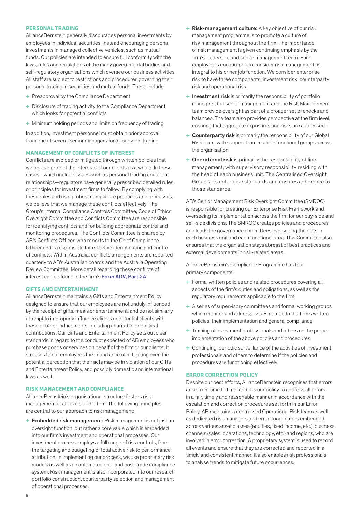#### <span id="page-7-0"></span>**PERSONAL TRADING**

AllianceBernstein generally discourages personal investments by employees in individual securities, instead encouraging personal investments in managed collective vehicles, such as mutual funds. Our policies are intended to ensure full conformity with the laws, rules and regulations of the many governmental bodies and self-regulatory organisations which oversee our business activities. All staff are subject to restrictions and procedures governing their personal trading in securities and mutual funds. These include:

- + Preapproval by the Compliance Department
- + Disclosure of trading activity to the Compliance Department, which looks for potential conflicts
- + Minimum holding periods and limits on frequency of trading

In addition, investment personnel must obtain prior approval from one of several senior managers for all personal trading.

#### **MANAGEMENT OF CONFLICTS OF INTEREST**

Conflicts are avoided or mitigated through written policies that we believe protect the interests of our clients as a whole. In these cases—which include issues such as personal trading and client relationships—regulators have generally prescribed detailed rules or principles for investment firms to follow. By complying with these rules and using robust compliance practices and processes, we believe that we manage these conflicts effectively. The Group's Internal Compliance Controls Committee, Code of Ethics Oversight Committee and Conflicts Committee are responsible for identifying conflicts and for building appropriate control and monitoring procedures. The Conflicts Committee is chaired by AB's Conflicts Officer, who reports to the Chief Compliance Officer and is responsible for effective identification and control of conflicts. Within Australia, conflicts arrangements are reported quarterly to AB's Australian boards and the Australia Operating Review Committee. More detail regarding these conflicts of interest can be found in the firm's [Form ADV, Part 2A.](https://www.alliancebernstein.com/sites/corporate/management/content/PDFs/AllianceBernstein%20Form%20ADV%20Part%20II.pdf)

#### **GIFTS AND ENTERTAINMENT**

AllianceBernstein maintains a Gifts and Entertainment Policy designed to ensure that our employees are not unduly influenced by the receipt of gifts, meals or entertainment, and do not similarly attempt to improperly influence clients or potential clients with these or other inducements, including charitable or political contributions. Our Gifts and Entertainment Policy sets out clear standards in regard to the conduct expected of AB employees who purchase goods or services on behalf of the firm or our clients. It stresses to our employees the importance of mitigating even the potential perception that their acts may be in violation of our Gifts and Entertainment Policy, and possibly domestic and international laws as well.

## **RISK MANAGEMENT AND COMPLIANCE**

AllianceBernstein's organisational structure fosters risk management at all levels of the firm. The following principles are central to our approach to risk management:

+ Embedded risk management: Risk management is not just an oversight function, but rather a core value which is embedded into our firm's investment and operational processes. Our investment process employs a full range of risk controls, from the targeting and budgeting of total active risk to performance attribution. In implementing our process, we use proprietary risk models as well as an automated pre- and post-trade compliance system. Risk management is also incorporated into our research, portfolio construction, counterparty selection and management of operational processes.

- + Risk-management culture: A key objective of our risk management programme is to promote a culture of risk management throughout the firm. The importance of risk management is given continuing emphasis by the firm's leadership and senior management team. Each employee is encouraged to consider risk management as integral to his or her job function. We consider enterprise risk to have three components: investment risk, counterparty risk and operational risk.
- + Investment risk is primarily the responsibility of portfolio managers, but senior management and the Risk Management team provide oversight as part of a broader set of checks and balances. The team also provides perspective at the firm level, ensuring that aggregate exposures and risks are addressed.
- + Counterparty risk is primarily the responsibility of our Global Risk team, with support from multiple functional groups across the organisation.
- + Operational risk is primarily the responsibility of line management, with supervisory responsibility residing with the head of each business unit. The Centralised Oversight Group sets enterprise standards and ensures adherence to those standards.

AB's Senior Management Risk Oversight Committee (SMROC) is responsible for creating our Enterprise Risk Framework and overseeing its implementation across the firm for our buy-side and sell-side divisions. The SMROC creates policies and procedures and leads the governance committees overseeing the risks in each business unit and each functional area. This Committee also ensures that the organisation stays abreast of best practices and external developments in risk-related areas.

AllianceBernstein's Compliance Programme has four primary components:

- + Formal written policies and related procedures covering all aspects of the firm's duties and obligations, as well as the regulatory requirements applicable to the firm
- + A series of supervisory committees and formal working groups which monitor and address issues related to the firm's written policies, their implementation and general compliance
- + Training of investment professionals and others on the proper implementation of the above policies and procedures
- + Continuing, periodic surveillance of the activities of investment professionals and others to determine if the policies and procedures are functioning effectively

#### **ERROR CORRECTION POLICY**

Despite our best efforts, AllianceBernstein recognises that errors arise from time to time, and it is our policy to address all errors in a fair, timely and reasonable manner in accordance with the escalation and correction procedures set forth in our Error Policy. AB maintains a centralised Operational Risk team as well as dedicated risk managers and error coordinators embedded across various asset classes (equities, fixed income, etc.), business channels (sales, operations, technology, etc.) and regions, who are involved in error correction. A proprietary system is used to record all events and ensure that they are corrected and reported in a timely and consistent manner. It also enables risk professionals to analyse trends to mitigate future occurrences.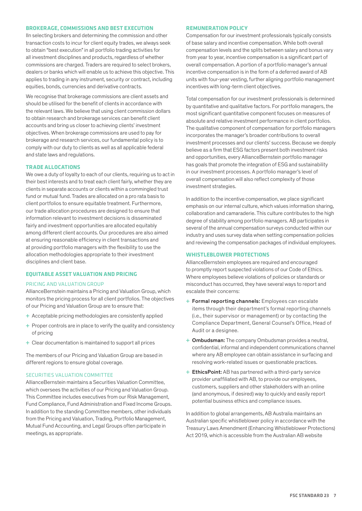#### <span id="page-8-0"></span>**BROKERAGE, COMMISSIONS AND BEST EXECUTION**

IIn selecting brokers and determining the commission and other transaction costs to incur for client equity trades, we always seek to obtain "best execution" in all portfolio trading activities for all investment disciplines and products, regardless of whether commissions are charged. Traders are required to select brokers, dealers or banks which will enable us to achieve this objective. This applies to trading in any instrument, security or contract, including equities, bonds, currencies and derivative contracts.

We recognise that brokerage commissions are client assets and should be utilised for the benefit of clients in accordance with the relevant laws. We believe that using client commission dollars to obtain research and brokerage services can benefit client accounts and bring us closer to achieving clients' investment objectives. When brokerage commissions are used to pay for brokerage and research services, our fundamental policy is to comply with our duty to clients as well as all applicable federal and state laws and regulations.

#### **TRADE ALLOCATIONS**

We owe a duty of loyalty to each of our clients, requiring us to act in their best interests and to treat each client fairly, whether they are clients in separate accounts or clients within a commingled trust fund or mutual fund. Trades are allocated on a pro rata basis to client portfolios to ensure equitable treatment. Furthermore, our trade allocation procedures are designed to ensure that information relevant to investment decisions is disseminated fairly and investment opportunities are allocated equitably among different client accounts. Our procedures are also aimed at ensuring reasonable efficiency in client transactions and at providing portfolio managers with the flexibility to use the allocation methodologies appropriate to their investment disciplines and client base.

#### **EQUITABLE ASSET VALUATION AND PRICING**

#### PRICING AND VALUATION GROUP

AllianceBernstein maintains a Pricing and Valuation Group, which monitors the pricing process for all client portfolios. The objectives of our Pricing and Valuation Group are to ensure that:

- + Acceptable pricing methodologies are consistently applied
- + Proper controls are in place to verify the quality and consistency of pricing
- + Clear documentation is maintained to support all prices

The members of our Pricing and Valuation Group are based in different regions to ensure global coverage.

#### SECURITIES VALUATION COMMITTEE

AllianceBernstein maintains a Securities Valuation Committee, which oversees the activities of our Pricing and Valuation Group. This Committee includes executives from our Risk Management, Fund Compliance, Fund Administration and Fixed Income Groups. In addition to the standing Committee members, other individuals from the Pricing and Valuation, Trading, Portfolio Management, Mutual Fund Accounting, and Legal Groups often participate in meetings, as appropriate.

#### **REMUNERATION POLICY**

Compensation for our investment professionals typically consists of base salary and incentive compensation. While both overall compensation levels and the splits between salary and bonus vary from year to year, incentive compensation is a significant part of overall compensation. A portion of a portfolio manager's annual incentive compensation is in the form of a deferred award of AB units with four-year vesting, further aligning portfolio management incentives with long-term client objectives.

Total compensation for our investment professionals is determined by quantitative and qualitative factors. For portfolio managers, the most significant quantitative component focuses on measures of absolute and relative investment performance in client portfolios. The qualitative component of compensation for portfolio managers incorporates the manager's broader contributions to overall investment processes and our clients' success. Because we deeply believe as a firm that ESG factors present both investment risks and opportunities, every AllianceBernstein portfolio manager has goals that promote the integration of ESG and sustainability in our investment processes. A portfolio manager's level of overall compensation will also reflect complexity of those investment strategies.

In addition to the incentive compensation, we place significant emphasis on our internal culture, which values information sharing, collaboration and camaraderie. This culture contributes to the high degree of stability among portfolio managers. AB participates in several of the annual compensation surveys conducted within our industry and uses survey data when setting compensation policies and reviewing the compensation packages of individual employees.

#### **WHISTLEBLOWER PROTECTIONS**

AllianceBernstein employees are required and encouraged to promptly report suspected violations of our Code of Ethics. Where employees believe violations of policies or standards or misconduct has occurred, they have several ways to report and escalate their concerns:

- + Formal reporting channels: Employees can escalate items through their department's formal reporting channels (i.e., their supervisor or management) or by contacting the Compliance Department, General Counsel's Office, Head of Audit or a designee.
- + Ombudsman: The company Ombudsman provides a neutral, confidential, informal and independent communications channel where any AB employee can obtain assistance in surfacing and resolving work-related issues or questionable practices.
- + EthicsPoint: AB has partnered with a third-party service provider unaffiliated with AB, to provide our employees, customers, suppliers and other stakeholders with an online (and anonymous, if desired) way to quickly and easily report potential business ethics and compliance issues.

In addition to global arrangements, AB Australia maintains an Australian specific whistleblower policy in accordance with the Treasury Laws Amendment (Enhancing Whistleblower Protections) Act 2019, which is accessible from the Australian AB website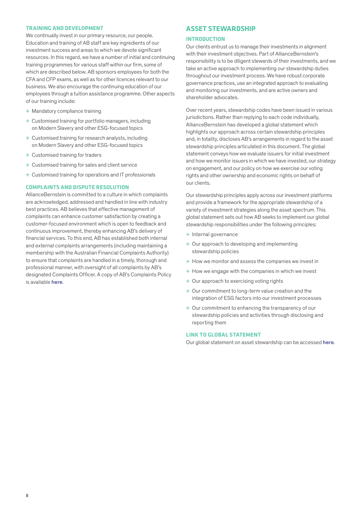#### <span id="page-9-0"></span>**TRAINING AND DEVELOPMENT**

We continually invest in our primary resource, our people. Education and training of AB staff are key ingredients of our investment success and areas to which we devote significant resources. In this regard, we have a number of initial and continuing training programmes for various staff within our firm, some of which are described below. AB sponsors employees for both the CFA and CFP exams, as well as for other licences relevant to our business. We also encourage the continuing education of our employees through a tuition assistance programme. Other aspects of our training include:

- + Mandatory compliance training
- + Customised training for portfolio managers, including on Modern Slavery and other ESG-focused topics
- + Customised training for research analysts, including on Modern Slavery and other ESG-focused topics
- + Customised training for traders
- + Customised training for sales and client service
- + Customised training for operations and IT professionals

#### **COMPLAINTS AND DISPUTE RESOLUTION**

AllianceBernstein is committed to a culture in which complaints are acknowledged, addressed and handled in line with industry best practices. AB believes that effective management of complaints can enhance customer satisfaction by creating a customer-focused environment which is open to feedback and continuous improvement, thereby enhancing AB's delivery of financial services. To this end, AB has established both internal and external complaints arrangements (including maintaining a membership with the Australian Financial Complaints Authority) to ensure that complaints are handled in a timely, thorough and professional manner, with oversight of all complaints by AB's designated Complaints Officer. A copy of AB's Complaints Policy is available [here](https://web.alliancebernstein.com/investments/au/complaint-policy.htm).

#### **ASSET STEWARDSHIP**

#### **INTRODUCTION**

Our clients entrust us to manage their investments in alignment with their investment objectives. Part of AllianceBernstein's responsibility is to be diligent stewards of their investments, and we take an active approach to implementing our stewardship duties throughout our investment process. We have robust corporate governance practices, use an integrated approach to evaluating and monitoring our investments, and are active owners and shareholder advocates.

Over recent years, stewardship codes have been issued in various jurisdictions. Rather than replying to each code individually, AllianceBernstein has developed a global statement which highlights our approach across certain stewardship principles and, in totality, discloses AB's arrangements in regard to the asset stewardship principles articulated in this document. The global statement conveys how we evaluate issuers for initial investment and how we monitor issuers in which we have invested, our strategy on engagement, and our policy on how we exercise our voting rights and other ownership and economic rights on behalf of our clients.

Our stewardship principles apply across our investment platforms and provide a framework for the appropriate stewardship of a variety of investment strategies along the asset spectrum. This global statement sets out how AB seeks to implement our global stewardship responsibilities under the following principles:

- + Internal governance
- + Our approach to developing and implementing stewardship policies
- + How we monitor and assess the companies we invest in
- $+$  How we engage with the companies in which we invest
- + Our approach to exercising voting rights
- + Our commitment to long-term value creation and the integration of ESG factors into our investment processes
- + Our commitment to enhancing the transparency of our stewardship policies and activities through disclosing and reporting them

#### **LINK TO GLOBAL STATEMENT**

Our global statement on asset stewardship can be accessed [here](https://www.alliancebernstein.com/abcom/Our_Firm/Content/CGDocs/ABGlobalStewardship.pdf).